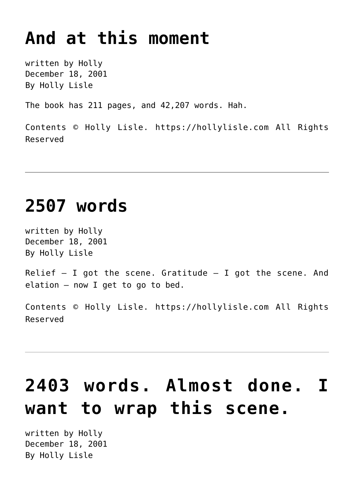### **[And at this moment](https://hollylisle.com/and-at-this-moment/)**

written by Holly December 18, 2001 [By Holly Lisle](https://hollylisle.com)

The book has 211 pages, and 42,207 words. Hah.

Contents © Holly Lisle. <https://hollylisle.com> All Rights Reserved

### **[2507 words](https://hollylisle.com/2507-words/)**

written by Holly December 18, 2001 [By Holly Lisle](https://hollylisle.com)

Relief  $-$  I got the scene. Gratitude  $-$  I got the scene. And elation — now I get to go to bed.

Contents © Holly Lisle. <https://hollylisle.com> All Rights Reserved

# **[2403 words. Almost done. I](https://hollylisle.com/2403-words-almost-done-i-want-to-wrap-this-scene/) [want to wrap this scene.](https://hollylisle.com/2403-words-almost-done-i-want-to-wrap-this-scene/)**

written by Holly December 18, 2001 [By Holly Lisle](https://hollylisle.com)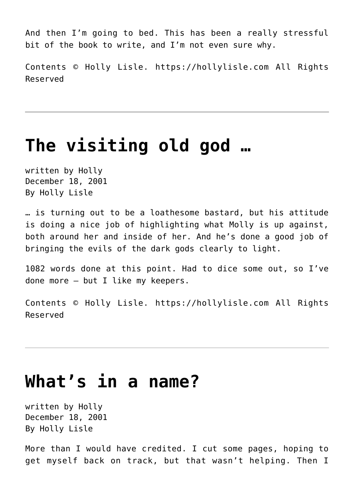And then I'm going to bed. This has been a really stressful bit of the book to write, and I'm not even sure why.

Contents © Holly Lisle. <https://hollylisle.com> All Rights Reserved

#### **[The visiting old god …](https://hollylisle.com/the-visiting-old-god/)**

written by Holly December 18, 2001 [By Holly Lisle](https://hollylisle.com)

… is turning out to be a loathesome bastard, but his attitude is doing a nice job of highlighting what Molly is up against, both around her and inside of her. And he's done a good job of bringing the evils of the dark gods clearly to light.

1082 words done at this point. Had to dice some out, so I've done more — but I like my keepers.

Contents © Holly Lisle. <https://hollylisle.com> All Rights Reserved

#### **[What's in a name?](https://hollylisle.com/whats-in-a-name/)**

written by Holly December 18, 2001 [By Holly Lisle](https://hollylisle.com)

More than I would have credited. I cut some pages, hoping to get myself back on track, but that wasn't helping. Then I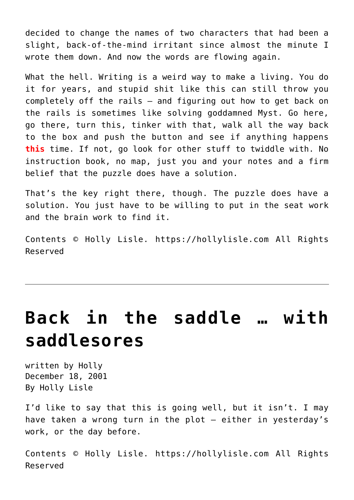decided to change the names of two characters that had been a slight, back-of-the-mind irritant since almost the minute I wrote them down. And now the words are flowing again.

What the hell. Writing is a weird way to make a living. You do it for years, and stupid shit like this can still throw you completely off the rails — and figuring out how to get back on the rails is sometimes like solving goddamned Myst. Go here, go there, turn this, tinker with that, walk all the way back to the box and push the button and see if anything happens **this** time. If not, go look for other stuff to twiddle with. No instruction book, no map, just you and your notes and a firm belief that the puzzle does have a solution.

That's the key right there, though. The puzzle does have a solution. You just have to be willing to put in the seat work and the brain work to find it.

Contents © Holly Lisle. <https://hollylisle.com> All Rights Reserved

## **[Back in the saddle … with](https://hollylisle.com/back-in-the-saddle-with-saddlesores/) [saddlesores](https://hollylisle.com/back-in-the-saddle-with-saddlesores/)**

written by Holly December 18, 2001 [By Holly Lisle](https://hollylisle.com)

I'd like to say that this is going well, but it isn't. I may have taken a wrong turn in the plot — either in yesterday's work, or the day before.

Contents © Holly Lisle. <https://hollylisle.com> All Rights Reserved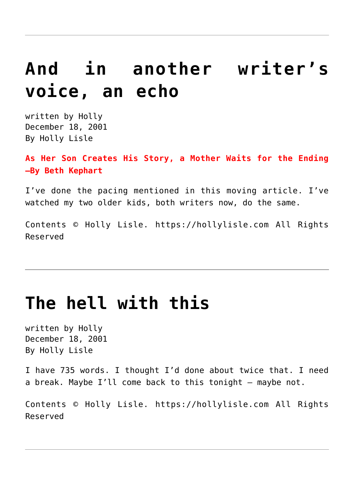### **[And in another writer's](https://hollylisle.com/and-in-another-writers-voice-an-echo/) [voice, an echo](https://hollylisle.com/and-in-another-writers-voice-an-echo/)**

written by Holly December 18, 2001 [By Holly Lisle](https://hollylisle.com)

**[As Her Son Creates His Story, a Mother Waits for the Ending](http://www.nytimes.com/2001/12/17/books/17KEPH.html) [–By Beth Kephart](http://www.nytimes.com/2001/12/17/books/17KEPH.html)**

I've done the pacing mentioned in this moving article. I've watched my two older kids, both writers now, do the same.

Contents © Holly Lisle. <https://hollylisle.com> All Rights Reserved

#### **[The hell with this](https://hollylisle.com/the-hell-with-this/)**

written by Holly December 18, 2001 [By Holly Lisle](https://hollylisle.com)

I have 735 words. I thought I'd done about twice that. I need a break. Maybe I'll come back to this tonight — maybe not.

Contents © Holly Lisle. <https://hollylisle.com> All Rights Reserved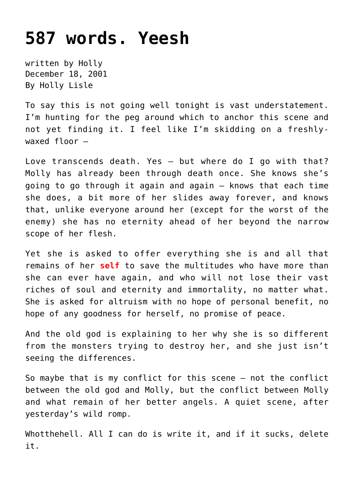#### **[587 words. Yeesh](https://hollylisle.com/587-words-yeesh/)**

written by Holly December 18, 2001 [By Holly Lisle](https://hollylisle.com)

To say this is not going well tonight is vast understatement. I'm hunting for the peg around which to anchor this scene and not yet finding it. I feel like I'm skidding on a freshlywaxed floor —

Love transcends death. Yes — but where do I go with that? Molly has already been through death once. She knows she's going to go through it again and again — knows that each time she does, a bit more of her slides away forever, and knows that, unlike everyone around her (except for the worst of the enemy) she has no eternity ahead of her beyond the narrow scope of her flesh.

Yet she is asked to offer everything she is and all that remains of her **self** to save the multitudes who have more than she can ever have again, and who will not lose their vast riches of soul and eternity and immortality, no matter what. She is asked for altruism with no hope of personal benefit, no hope of any goodness for herself, no promise of peace.

And the old god is explaining to her why she is so different from the monsters trying to destroy her, and she just isn't seeing the differences.

So maybe that is my conflict for this scene — not the conflict between the old god and Molly, but the conflict between Molly and what remain of her better angels. A quiet scene, after yesterday's wild romp.

Whotthehell. All I can do is write it, and if it sucks, delete it.